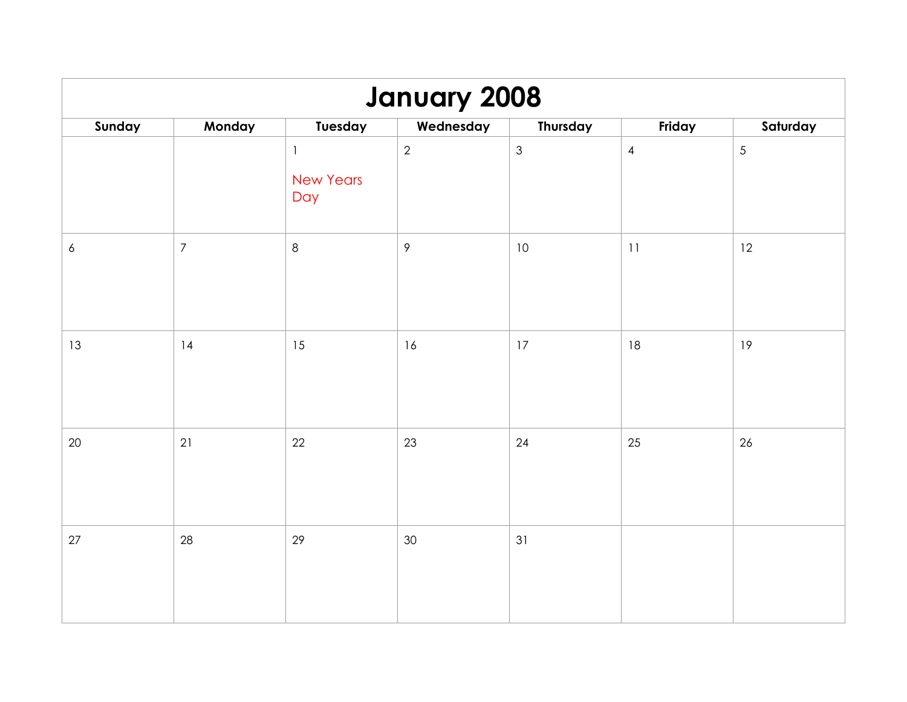| <b>January 2008</b> |                  |                                         |                |                |                |                |  |  |
|---------------------|------------------|-----------------------------------------|----------------|----------------|----------------|----------------|--|--|
| Sunday              | Monday           | Tuesday                                 | Wednesday      | Thursday       | Friday         | Saturday       |  |  |
|                     |                  | $\mathbf{1}$<br><b>New Years</b><br>Day | $\overline{2}$ | $\mathfrak{Z}$ | $\overline{4}$ | $\overline{5}$ |  |  |
| $\boldsymbol{6}$    | $\boldsymbol{7}$ | $\,8\,$                                 | $\mathcal{P}$  | 10             | 11             | 12             |  |  |
| 13                  | 14               | 15                                      | 16             | 17             | 18             | 19             |  |  |
| $20\,$              | 21               | 22                                      | 23             | 24             | 25             | 26             |  |  |
| 27                  | 28               | 29                                      | 30             | 31             |                |                |  |  |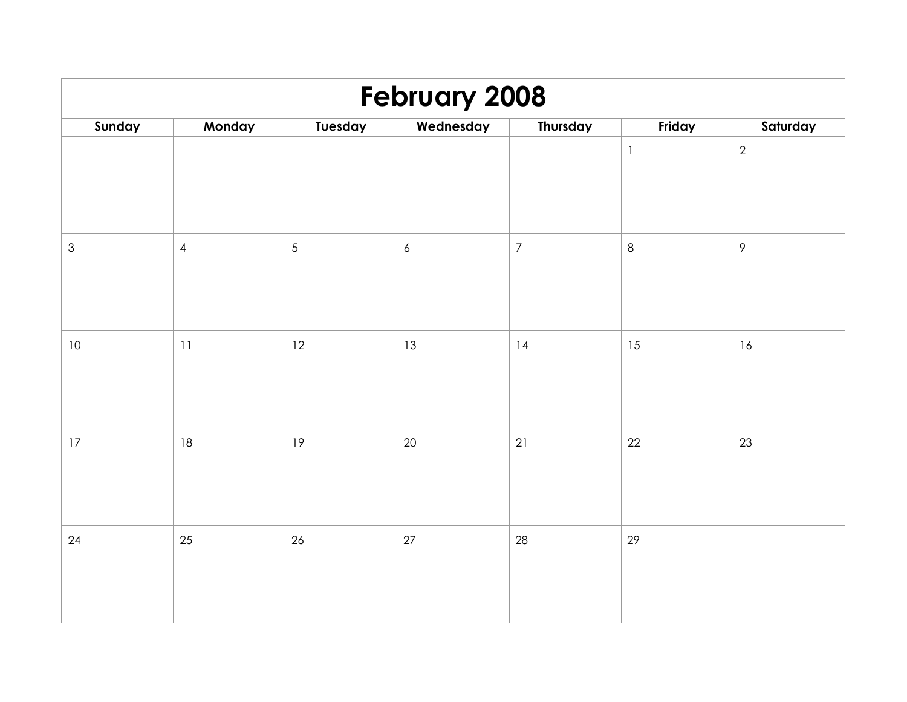| <b>February 2008</b>      |            |            |                  |                |              |                |  |  |
|---------------------------|------------|------------|------------------|----------------|--------------|----------------|--|--|
| Sunday                    | Monday     | Tuesday    | Wednesday        | Thursday       | Friday       | Saturday       |  |  |
|                           |            |            |                  |                | $\mathbf{1}$ | $\overline{2}$ |  |  |
| $\ensuremath{\mathsf{3}}$ | $\sqrt{4}$ | $\sqrt{5}$ | $\boldsymbol{6}$ | $\overline{7}$ | $\,8\,$      | $\mathcal{P}$  |  |  |
| $10\,$                    | $11\,$     | 12         | 13               | 14             | 15           | 16             |  |  |
| 17                        | 18         | 19         | 20               | 21             | 22           | 23             |  |  |
| 24                        | 25         | $26\,$     | $27\,$           | 28             | 29           |                |  |  |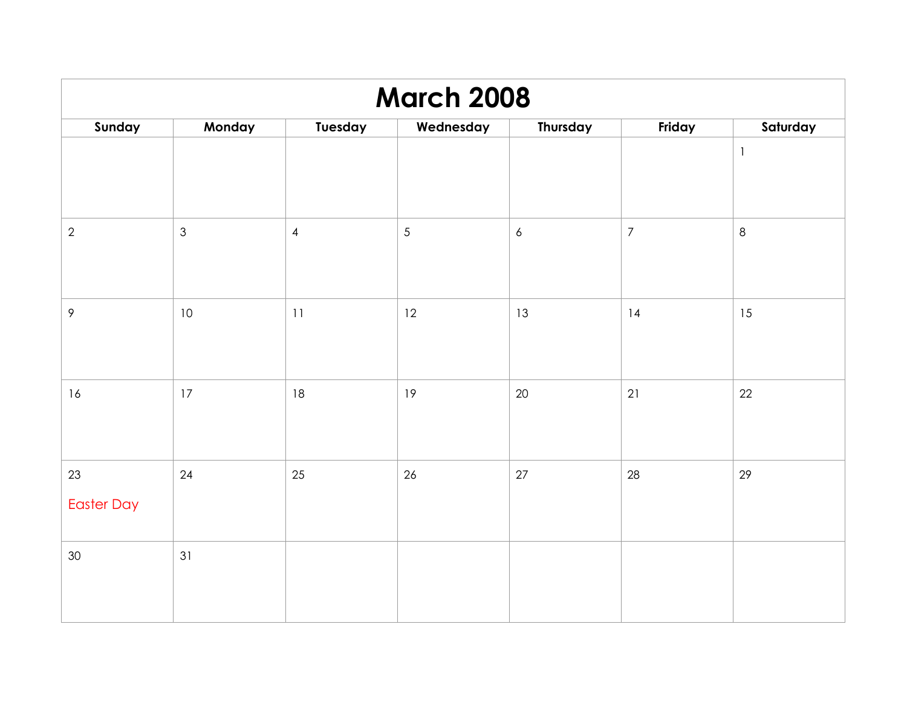| <b>March 2008</b>       |                |                |            |                  |                  |              |  |  |
|-------------------------|----------------|----------------|------------|------------------|------------------|--------------|--|--|
| Sunday                  | Monday         | Tuesday        | Wednesday  | Thursday         | Friday           | Saturday     |  |  |
|                         |                |                |            |                  |                  | $\mathbf{1}$ |  |  |
| $\sqrt{2}$              | $\mathfrak{S}$ | $\overline{4}$ | $\sqrt{5}$ | $\boldsymbol{6}$ | $\boldsymbol{7}$ | $\,8\,$      |  |  |
| $\,9\,$                 | $10\,$         | 11             | 12         | 13               | 14               | 15           |  |  |
| 16                      | 17             | 18             | 19         | 20               | 21               | 22           |  |  |
| 23<br><b>Easter Day</b> | 24             | 25             | 26         | 27               | 28               | 29           |  |  |
| $30\,$                  | 31             |                |            |                  |                  |              |  |  |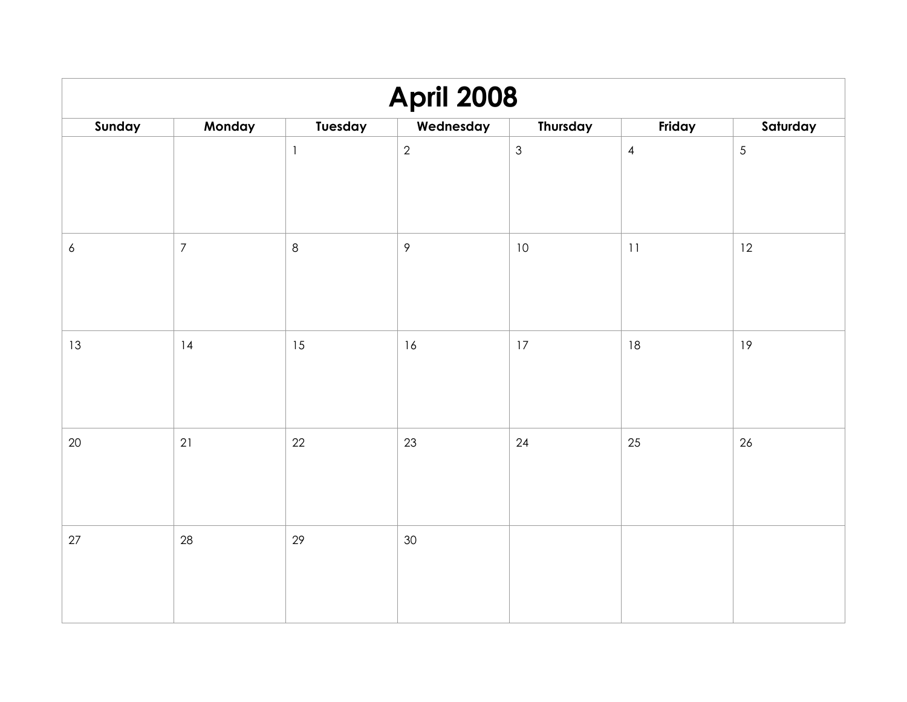| <b>April 2008</b> |                  |              |               |               |                |                |  |  |
|-------------------|------------------|--------------|---------------|---------------|----------------|----------------|--|--|
| Sunday            | Monday           | Tuesday      | Wednesday     | Thursday      | Friday         | Saturday       |  |  |
|                   |                  | $\mathbf{1}$ | $\sqrt{2}$    | $\mathfrak 3$ | $\overline{4}$ | $\overline{5}$ |  |  |
| $\boldsymbol{6}$  | $\boldsymbol{7}$ | $\,8\,$      | $\mathcal{P}$ | 10            | 11             | 12             |  |  |
| 13                | 4                | 15           | 16            | 17            | 18             | 19             |  |  |
| 20                | 21               | 22           | 23            | 24            | 25             | 26             |  |  |
| $27$              | 28               | 29           | 30            |               |                |                |  |  |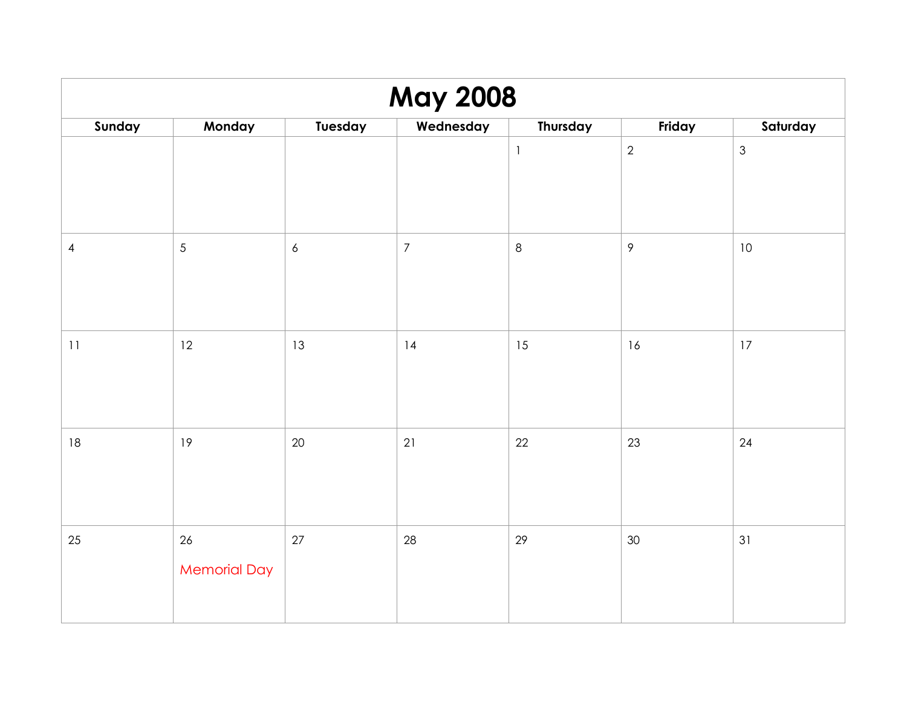| <b>May 2008</b> |                           |                  |                  |                          |               |                |  |  |
|-----------------|---------------------------|------------------|------------------|--------------------------|---------------|----------------|--|--|
| Sunday          | Monday                    | Tuesday          | Wednesday        | Thursday                 | Friday        | Saturday       |  |  |
|                 |                           |                  |                  | $\overline{\phantom{a}}$ | $\mathbf{2}$  | $\mathfrak{Z}$ |  |  |
| $\overline{4}$  | 5                         | $\boldsymbol{6}$ | $\boldsymbol{7}$ | $\,8\,$                  | $\mathcal{P}$ | 10             |  |  |
| $11$            | 12                        | 13               | 4                | 15                       | 16            | 17             |  |  |
| $18\,$          | 19                        | 20               | 21               | 22                       | 23            | 24             |  |  |
| 25              | 26<br><b>Memorial Day</b> | $27\,$           | 28               | 29                       | $30\,$        | 31             |  |  |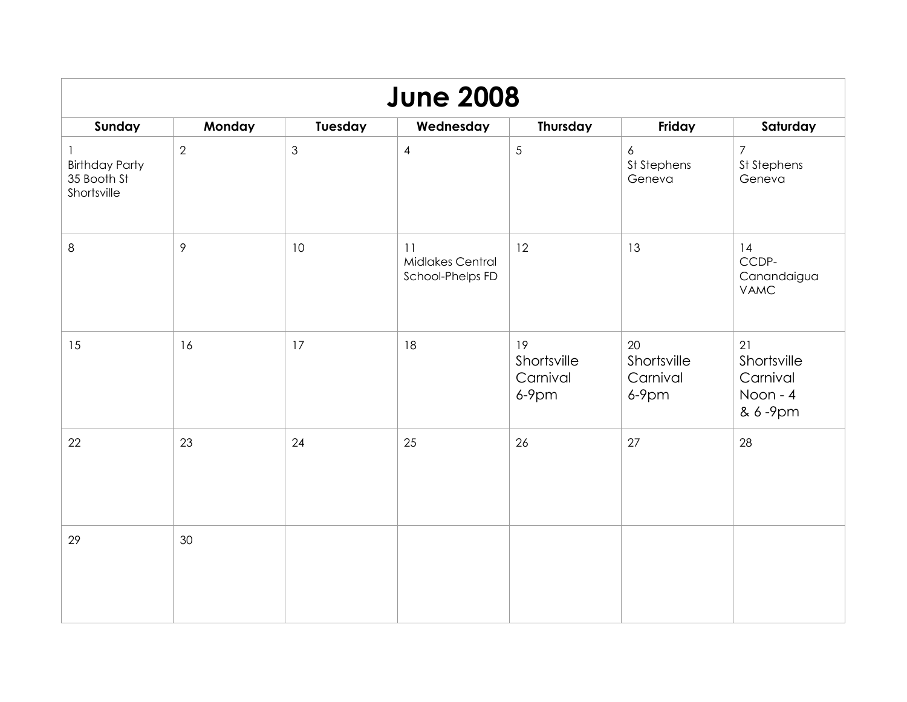| <b>June 2008</b>                                    |                |                |                                            |                                           |                                           |                                                      |  |  |
|-----------------------------------------------------|----------------|----------------|--------------------------------------------|-------------------------------------------|-------------------------------------------|------------------------------------------------------|--|--|
| Sunday                                              | Monday         | Tuesday        | Wednesday                                  | Thursday                                  | Friday                                    | Saturday                                             |  |  |
| <b>Birthday Party</b><br>35 Booth St<br>Shortsville | $\overline{2}$ | $\mathfrak{Z}$ | $\overline{4}$                             | $\sqrt{5}$                                | 6<br>St Stephens<br>Geneva                | $\overline{7}$<br>St Stephens<br>Geneva              |  |  |
| $\,8\,$                                             | 9              | 10             | 11<br>Midlakes Central<br>School-Phelps FD | 12                                        | 13                                        | 14<br>CCDP-<br>Canandaigua<br><b>VAMC</b>            |  |  |
| 15                                                  | 16             | 17             | 18                                         | 19<br>Shortsville<br>Carnival<br>$6-9$ pm | 20<br>Shortsville<br>Carnival<br>$6-9$ pm | 21<br>Shortsville<br>Carnival<br>Noon - 4<br>& 6-9pm |  |  |
| 22                                                  | 23             | 24             | 25                                         | 26                                        | 27                                        | 28                                                   |  |  |
| 29                                                  | 30             |                |                                            |                                           |                                           |                                                      |  |  |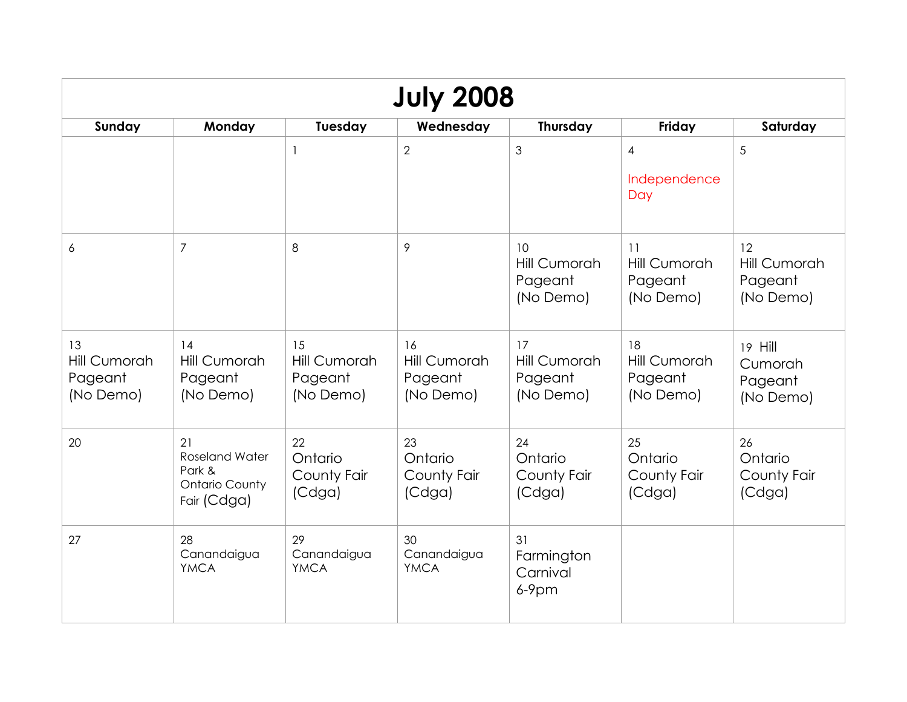| <b>July 2008</b>                                  |                                                                               |                                            |                                                   |                                            |                                                   |                                            |  |  |
|---------------------------------------------------|-------------------------------------------------------------------------------|--------------------------------------------|---------------------------------------------------|--------------------------------------------|---------------------------------------------------|--------------------------------------------|--|--|
| Sunday                                            | Monday                                                                        | Tuesday                                    | Wednesday                                         | Thursday                                   | Friday                                            | Saturday                                   |  |  |
|                                                   |                                                                               | $\mathbf{1}$                               | $\overline{2}$                                    | 3                                          | $\overline{4}$<br>Independence<br>Day             | 5                                          |  |  |
| 6                                                 | $\overline{7}$                                                                | 8                                          | 9                                                 | 10<br>Hill Cumorah<br>Pageant<br>(No Demo) | 11<br>Hill Cumorah<br>Pageant<br>(No Demo)        | 12<br>Hill Cumorah<br>Pageant<br>(No Demo) |  |  |
| 13<br><b>Hill Cumorah</b><br>Pageant<br>(No Demo) | 14<br>Hill Cumorah<br>Pageant<br>(No Demo)                                    | 15<br>Hill Cumorah<br>Pageant<br>(No Demo) | 16<br><b>Hill Cumorah</b><br>Pageant<br>(No Demo) | 17<br>Hill Cumorah<br>Pageant<br>(No Demo) | 18<br><b>Hill Cumorah</b><br>Pageant<br>(No Demo) | 19 Hill<br>Cumorah<br>Pageant<br>(No Demo) |  |  |
| 20                                                | 21<br><b>Roseland Water</b><br>Park &<br><b>Ontario County</b><br>Fair (Cdga) | 22<br>Ontario<br>County Fair<br>(Cdga)     | 23<br>Ontario<br>County Fair<br>(Cdga)            | 24<br>Ontario<br>County Fair<br>(Cdga)     | 25<br>Ontario<br>County Fair<br>(Cdga)            | 26<br>Ontario<br>County Fair<br>(Cdga)     |  |  |
| 27                                                | 28<br>Canandaigua<br><b>YMCA</b>                                              | 29<br>Canandaigua<br><b>YMCA</b>           | 30<br>Canandaigua<br><b>YMCA</b>                  | 31<br>Farmington<br>Carnival<br>$6-9$ pm   |                                                   |                                            |  |  |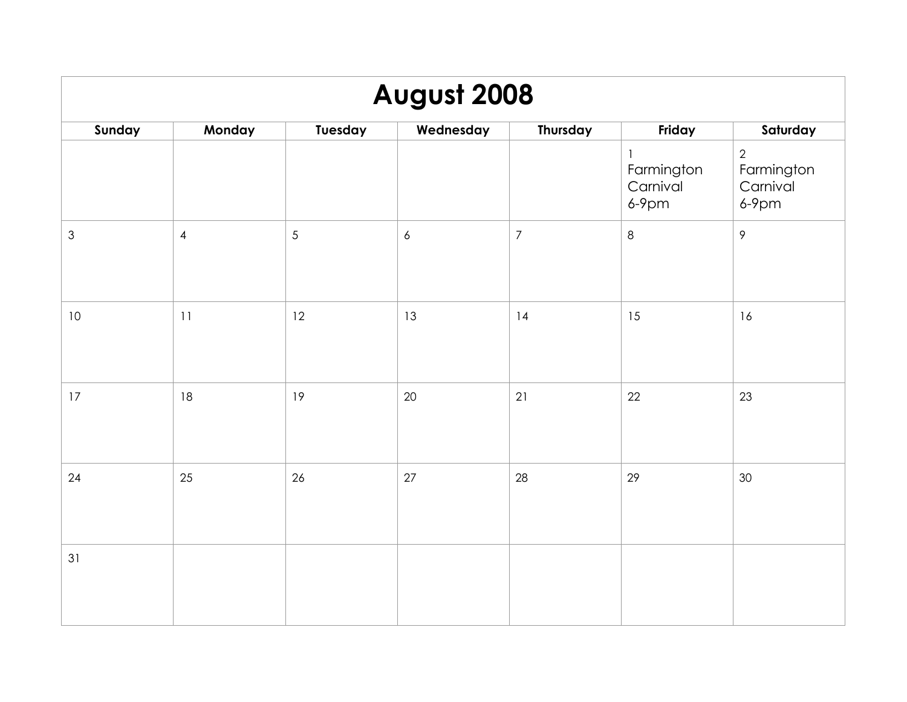| August 2008    |                |                |                  |                  |                                    |                                                      |  |  |
|----------------|----------------|----------------|------------------|------------------|------------------------------------|------------------------------------------------------|--|--|
| Sunday         | Monday         | Tuesday        | Wednesday        | Thursday         | Friday                             | Saturday                                             |  |  |
|                |                |                |                  |                  | Farmington<br>Carnival<br>$6-9$ pm | $\overline{2}$<br>Farmington<br>Carnival<br>$6-9$ pm |  |  |
| $\mathfrak{Z}$ | $\overline{4}$ | $\overline{5}$ | $\boldsymbol{6}$ | $\boldsymbol{7}$ | $\,8\,$                            | $\mathcal{P}$                                        |  |  |
| $10$           | 11             | 12             | 13               | 14               | 15                                 | 16                                                   |  |  |
| 17             | 18             | 19             | 20               | 21               | 22                                 | 23                                                   |  |  |
| 24             | 25             | 26             | 27               | 28               | 29                                 | 30                                                   |  |  |
| 31             |                |                |                  |                  |                                    |                                                      |  |  |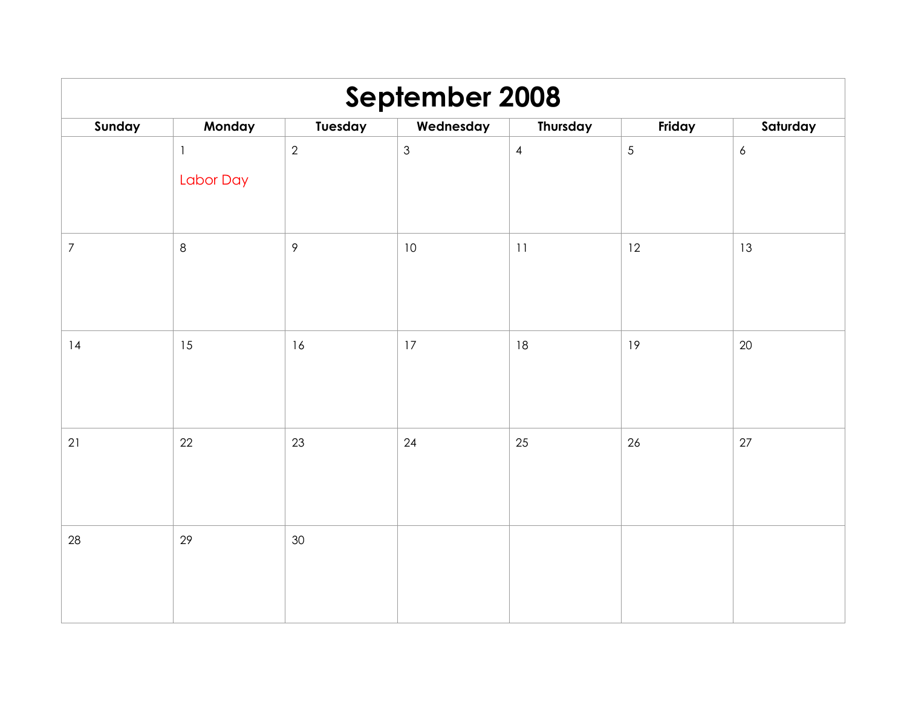| September 2008 |              |                |                |                |            |                  |  |  |
|----------------|--------------|----------------|----------------|----------------|------------|------------------|--|--|
| Sunday         | Monday       | Tuesday        | Wednesday      | Thursday       | Friday     | Saturday         |  |  |
|                | $\mathbf{1}$ | $\sqrt{2}$     | $\mathfrak{S}$ | $\overline{4}$ | $\sqrt{5}$ | $\boldsymbol{6}$ |  |  |
|                | Labor Day    |                |                |                |            |                  |  |  |
| $\overline{7}$ | $\,8\,$      | $\overline{9}$ | 10             | 11             | 12         | 13               |  |  |
| 14             | 15           | 16             | 17             | 18             | 19         | 20               |  |  |
| 21             | 22           | 23             | 24             | 25             | 26         | 27               |  |  |
| 28             | 29           | 30             |                |                |            |                  |  |  |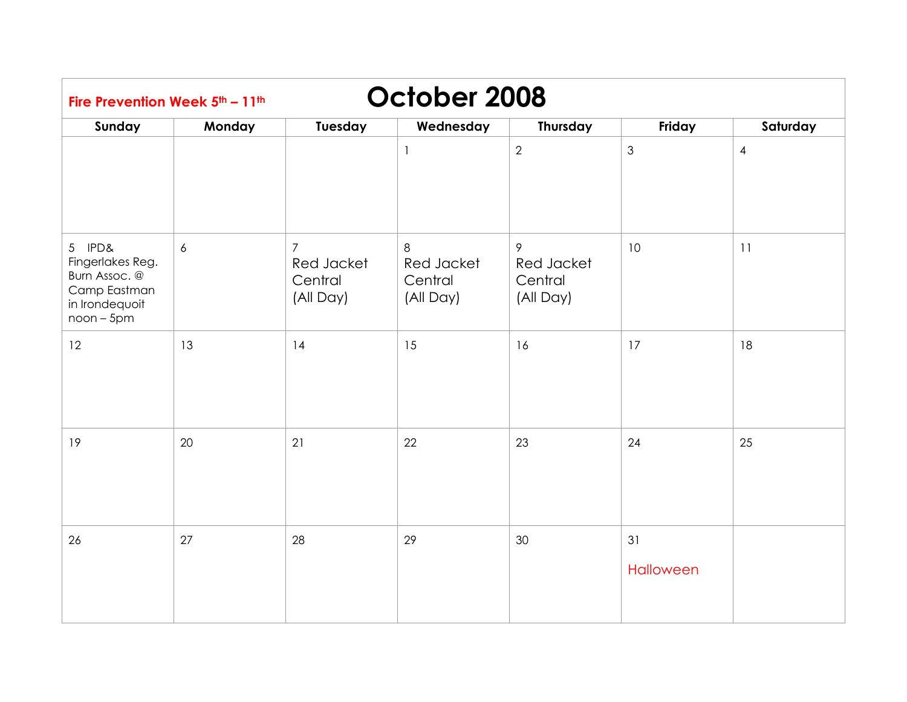| October 2008<br>Fire Prevention Week 5th - 11th                                               |            |                                                      |                                         |                                         |                 |                |  |  |
|-----------------------------------------------------------------------------------------------|------------|------------------------------------------------------|-----------------------------------------|-----------------------------------------|-----------------|----------------|--|--|
| Sunday                                                                                        | Monday     | Tuesday                                              | Wednesday                               | Thursday                                | Friday          | Saturday       |  |  |
|                                                                                               |            |                                                      | $\mathbf{1}$                            | 2                                       | $\mathfrak 3$   | $\overline{4}$ |  |  |
| 5 IPD&<br>Fingerlakes Reg.<br>Burn Assoc. @<br>Camp Eastman<br>in Irondequoit<br>$noon - 5pm$ | $\epsilon$ | $\overline{7}$<br>Red Jacket<br>Central<br>(All Day) | 8<br>Red Jacket<br>Central<br>(All Day) | 9<br>Red Jacket<br>Central<br>(All Day) | 10              | 11             |  |  |
| 12                                                                                            | 13         | 14                                                   | 15                                      | 16                                      | 17              | 18             |  |  |
| 19                                                                                            | 20         | 21                                                   | 22                                      | 23                                      | 24              | 25             |  |  |
| 26                                                                                            | 27         | 28                                                   | 29                                      | 30                                      | 31<br>Halloween |                |  |  |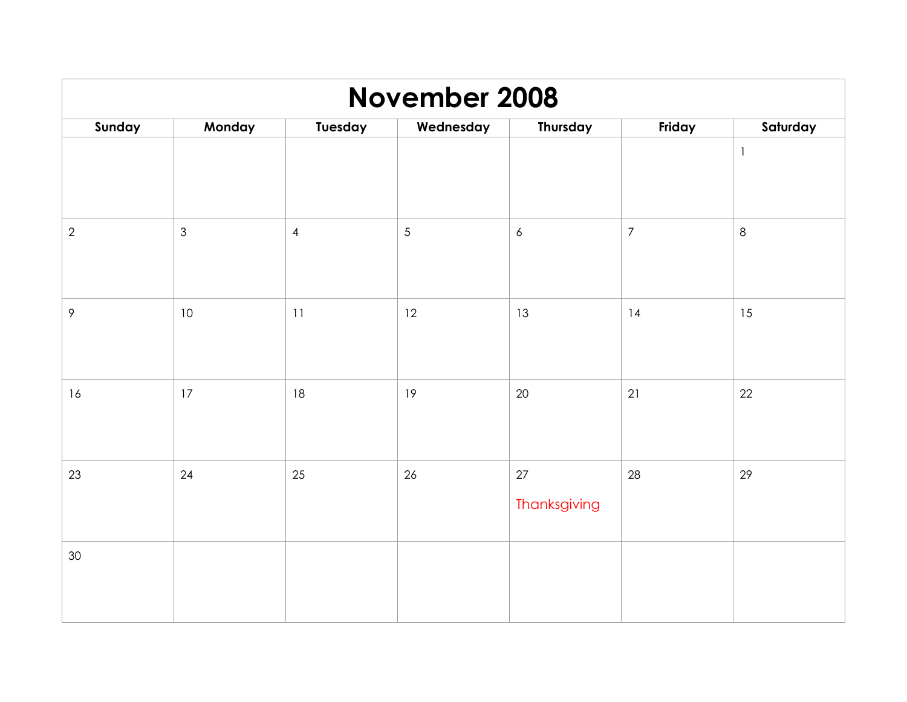| <b>November 2008</b> |                |                |            |                    |                |              |  |  |
|----------------------|----------------|----------------|------------|--------------------|----------------|--------------|--|--|
| Sunday               | Monday         | Tuesday        | Wednesday  | Thursday           | Friday         | Saturday     |  |  |
|                      |                |                |            |                    |                | $\mathbf{1}$ |  |  |
| $\overline{2}$       | $\mathfrak{S}$ | $\overline{4}$ | $\sqrt{5}$ | $\epsilon$         | $\overline{7}$ | $\,8\,$      |  |  |
| 9                    | $10\,$         | 11             | 12         | 13                 | 14             | 15           |  |  |
| 16                   | $17\,$         | 18             | 19         | 20                 | 21             | 22           |  |  |
| 23                   | 24             | 25             | 26         | 27<br>Thanksgiving | 28             | 29           |  |  |
| $30\,$               |                |                |            |                    |                |              |  |  |